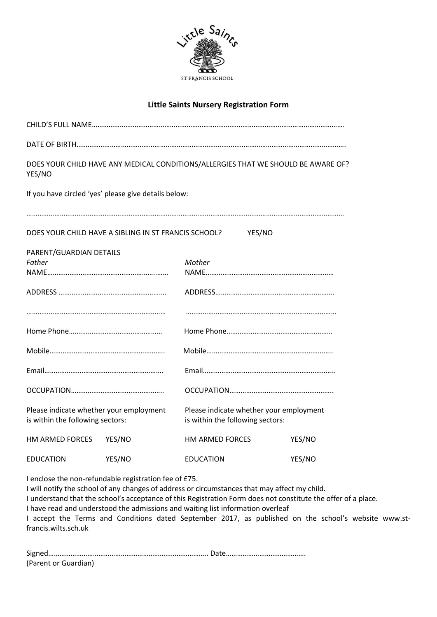

## **Little Saints Nursery Registration Form**

| YES/NO                                                                      |                                                      | DOES YOUR CHILD HAVE ANY MEDICAL CONDITIONS/ALLERGIES THAT WE SHOULD BE AWARE OF? |        |  |  |  |
|-----------------------------------------------------------------------------|------------------------------------------------------|-----------------------------------------------------------------------------------|--------|--|--|--|
|                                                                             | If you have circled 'yes' please give details below: |                                                                                   |        |  |  |  |
|                                                                             | DOES YOUR CHILD HAVE A SIBLING IN ST FRANCIS SCHOOL? | YES/NO                                                                            |        |  |  |  |
| PARENT/GUARDIAN DETAILS                                                     |                                                      |                                                                                   |        |  |  |  |
| Father                                                                      |                                                      | Mother                                                                            |        |  |  |  |
|                                                                             |                                                      |                                                                                   |        |  |  |  |
|                                                                             |                                                      |                                                                                   |        |  |  |  |
|                                                                             |                                                      |                                                                                   |        |  |  |  |
|                                                                             |                                                      |                                                                                   |        |  |  |  |
|                                                                             |                                                      |                                                                                   |        |  |  |  |
|                                                                             |                                                      |                                                                                   |        |  |  |  |
|                                                                             |                                                      |                                                                                   |        |  |  |  |
| Please indicate whether your employment<br>is within the following sectors: |                                                      | Please indicate whether your employment<br>is within the following sectors:       |        |  |  |  |
| HM ARMED FORCES                                                             | YES/NO                                               | HM ARMED FORCES                                                                   | YES/NO |  |  |  |
| <b>EDUCATION</b>                                                            | YES/NO                                               | YES/NO<br><b>EDUCATION</b>                                                        |        |  |  |  |

I enclose the non-refundable registration fee of £75.

I will notify the school of any changes of address or circumstances that may affect my child. I understand that the school's acceptance of this Registration Form does not constitute the offer of a place. I have read and understood the admissions and waiting list information overleaf I accept the Terms and Conditions dated September 2017, as published on the school's website www.stfrancis.wilts.sch.uk

| (Parent or Guardian) |  |
|----------------------|--|